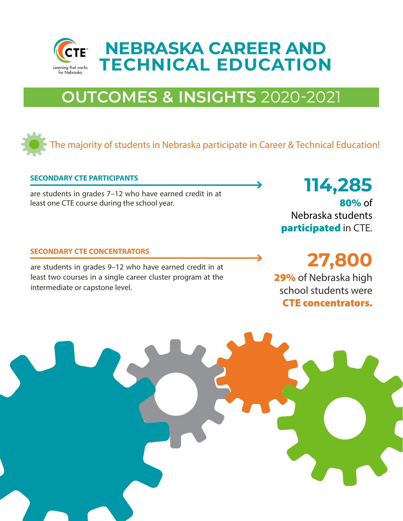

# **OUTCOMES & INSIGHTS** 2020-2021

# The majority of students in Nebraska participate in Career & Technical Education!

#### **SECONDARY CTE PARTICIPANTS**

are students in grades 7–12 who have earned credit in at **114,285** least one CTE course during the school year.

#### **SECONDARY CTE CONCENTRATORS**

are students in grades 9–12 who have earned credit in at **27,800** least two courses in a single career cluster program at the intermediate or capstone level.

80% of Nebraska students participated in CTE.

29% of Nebraska high school students were CTE concentrators.

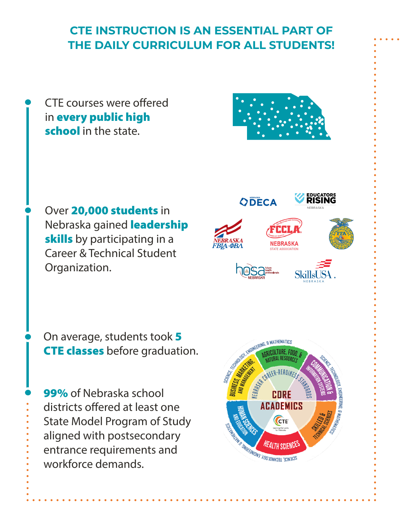# **CTE INSTRUCTION IS AN ESSENTIAL PART OF THE DAILY CURRICULUM FOR ALL STUDENTS!**

CTE courses were offered in every public high school in the state.



Over 20,000 students in Nebraska gained **leadership** skills by participating in a Career & Technical Student Organization.



NEBRASKA

N E B R A S K A

On average, students took 5 CTE classes before graduation.

99% of Nebraska school districts offered at least one State Model Program of Study aligned with postsecondary entrance requirements and workforce demands.

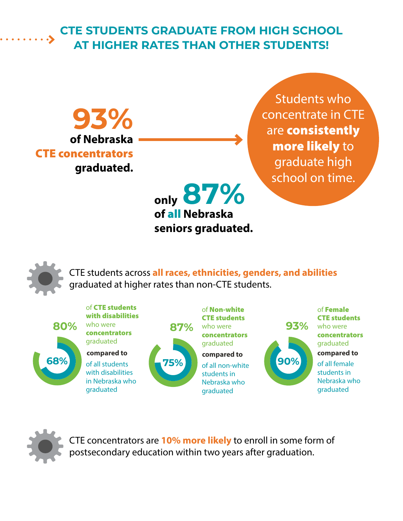# **CTE STUDENTS GRADUATE FROM HIGH SCHOOL AT HIGHER RATES THAN OTHER STUDENTS!**

**of Nebraska**  CTE concentrators **graduated. 93%**

Students who concentrate in CTE are **consistently** more likely to graduate high school on time.

**only 87% of** all **Nebraska seniors graduated.**



CTE students across **all races, ethnicities, genders, and abilities** graduated at higher rates than non-CTE students.





CTE concentrators are **10% more likely** to enroll in some form of postsecondary education within two years after graduation.